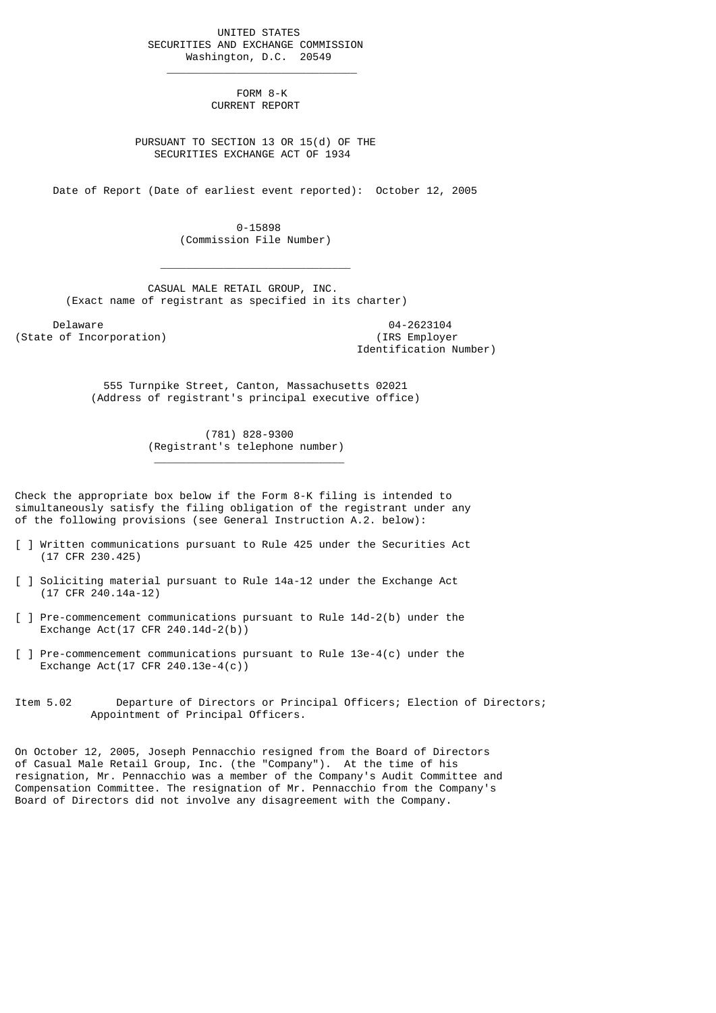UNITED STATES SECURITIES AND EXCHANGE COMMISSION Washington, D.C. 20549

 $\frac{1}{2}$  , and the set of the set of the set of the set of the set of the set of the set of the set of the set of the set of the set of the set of the set of the set of the set of the set of the set of the set of the set

 $\mathcal{L}_\text{max}$  and  $\mathcal{L}_\text{max}$  and  $\mathcal{L}_\text{max}$  and  $\mathcal{L}_\text{max}$  and  $\mathcal{L}_\text{max}$ 

\_\_\_\_\_\_\_\_\_\_\_\_\_\_\_\_\_\_\_\_\_\_\_\_\_\_\_\_\_\_

 FORM 8-K CURRENT REPORT

 PURSUANT TO SECTION 13 OR 15(d) OF THE SECURITIES EXCHANGE ACT OF 1934

Date of Report (Date of earliest event reported): October 12, 2005

 0-15898 (Commission File Number)

 CASUAL MALE RETAIL GROUP, INC. (Exact name of registrant as specified in its charter)

Delaware 04-2623104<br>
Delaware 04-2623104<br>
Of Incorporation (State of Incorporation)

Identification Number)

 555 Turnpike Street, Canton, Massachusetts 02021 (Address of registrant's principal executive office)

> (781) 828-9300 (Registrant's telephone number)

Check the appropriate box below if the Form 8-K filing is intended to simultaneously satisfy the filing obligation of the registrant under any of the following provisions (see General Instruction A.2. below):

- [ ] Written communications pursuant to Rule 425 under the Securities Act (17 CFR 230.425)
- [ ] Soliciting material pursuant to Rule 14a-12 under the Exchange Act (17 CFR 240.14a-12)
- [ ] Pre-commencement communications pursuant to Rule 14d-2(b) under the Exchange Act(17 CFR 240.14d-2(b))
- [ ] Pre-commencement communications pursuant to Rule 13e-4(c) under the Exchange Act(17 CFR 240.13e-4(c))
- Item 5.02 Departure of Directors or Principal Officers; Election of Directors; Appointment of Principal Officers.

On October 12, 2005, Joseph Pennacchio resigned from the Board of Directors of Casual Male Retail Group, Inc. (the "Company"). At the time of his resignation, Mr. Pennacchio was a member of the Company's Audit Committee and Compensation Committee. The resignation of Mr. Pennacchio from the Company's Board of Directors did not involve any disagreement with the Company.